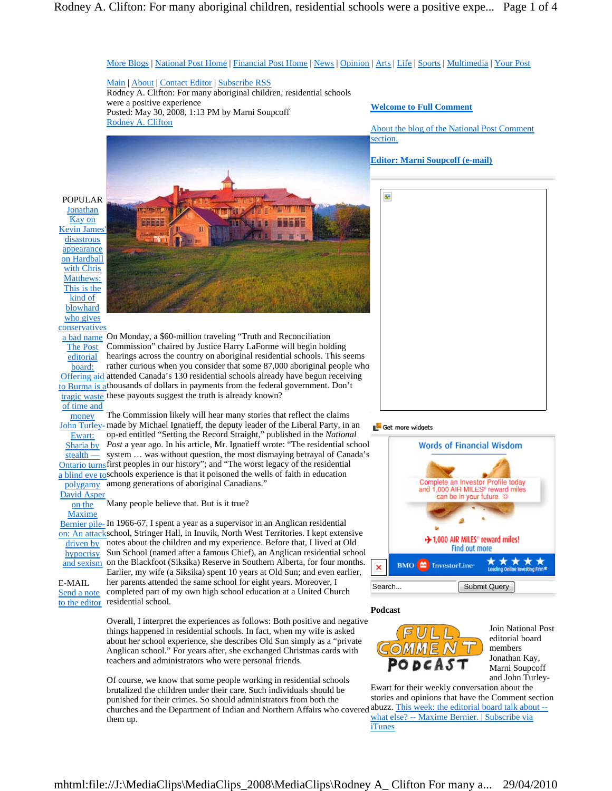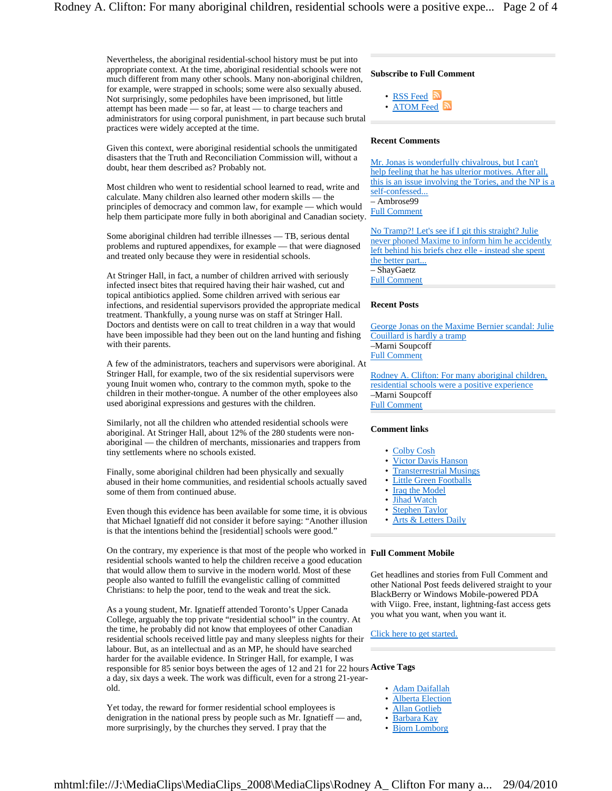Nevertheless, the aboriginal residential-school history must be put into appropriate context. At the time, aboriginal residential schools were not much different from many other schools. Many non-aboriginal children, for example, were strapped in schools; some were also sexually abused. Not surprisingly, some pedophiles have been imprisoned, but little attempt has been made — so far, at least — to charge teachers and administrators for using corporal punishment, in part because such brutal practices were widely accepted at the time.

Given this context, were aboriginal residential schools the unmitigated disasters that the Truth and Reconciliation Commission will, without a doubt, hear them described as? Probably not.

Most children who went to residential school learned to read, write and calculate. Many children also learned other modern skills — the principles of democracy and common law, for example — which would help them participate more fully in both aboriginal and Canadian society.

Some aboriginal children had terrible illnesses — TB, serious dental problems and ruptured appendixes, for example — that were diagnosed and treated only because they were in residential schools.

At Stringer Hall, in fact, a number of children arrived with seriously infected insect bites that required having their hair washed, cut and topical antibiotics applied. Some children arrived with serious ear infections, and residential supervisors provided the appropriate medical treatment. Thankfully, a young nurse was on staff at Stringer Hall. Doctors and dentists were on call to treat children in a way that would have been impossible had they been out on the land hunting and fishing with their parents.

A few of the administrators, teachers and supervisors were aboriginal. At Stringer Hall, for example, two of the six residential supervisors were young Inuit women who, contrary to the common myth, spoke to the children in their mother-tongue. A number of the other employees also used aboriginal expressions and gestures with the children.

Similarly, not all the children who attended residential schools were aboriginal. At Stringer Hall, about 12% of the 280 students were nonaboriginal — the children of merchants, missionaries and trappers from tiny settlements where no schools existed.

Finally, some aboriginal children had been physically and sexually abused in their home communities, and residential schools actually saved some of them from continued abuse.

Even though this evidence has been available for some time, it is obvious that Michael Ignatieff did not consider it before saying: "Another illusion is that the intentions behind the [residential] schools were good."

On the contrary, my experience is that most of the people who worked in **Full Comment Mobile**  residential schools wanted to help the children receive a good education that would allow them to survive in the modern world. Most of these people also wanted to fulfill the evangelistic calling of committed Christians: to help the poor, tend to the weak and treat the sick.

As a young student, Mr. Ignatieff attended Toronto's Upper Canada College, arguably the top private "residential school" in the country. At the time, he probably did not know that employees of other Canadian residential schools received little pay and many sleepless nights for their labour. But, as an intellectual and as an MP, he should have searched harder for the available evidence. In Stringer Hall, for example, I was responsible for 85 senior boys between the ages of 12 and 21 for 22 hours **Active Tags** a day, six days a week. The work was difficult, even for a strong 21-yearold.

Yet today, the reward for former residential school employees is denigration in the national press by people such as Mr. Ignatieff — and, more surprisingly, by the churches they served. I pray that the

# **Subscribe to Full Comment**

- RSS Feed
- ATOM Feed

## **Recent Comments**

Mr. Jonas is wonderfully chivalrous, but I can't help feeling that he has ulterior motives. After all, this is an issue involving the Tories, and the NP is a self-confessed... – Ambrose99 Full Comment

No Tramp?! Let's see if I git this straight? Julie never phoned Maxime to inform him he accidently left behind his briefs chez elle - instead she spent the better part. – ShayGaetz Full Comment

### **Recent Posts**

George Jonas on the Maxime Bernier scandal: Julie Couillard is hardly a tramp –Marni Soupcoff Full Comment

Rodney A. Clifton: For many aboriginal children, residential schools were a positive experience –Marni Soupcoff Full Comment

### **Comment links**

- Colby Cosh
- Victor Davis Hanson
- **Transterrestrial Musings**
- **Little Green Footballs**
- **Iraq the Model**
- **Jihad Watch**
- **Stephen Taylor**
- **Arts & Letters Daily**

Get headlines and stories from Full Comment and other National Post feeds delivered straight to your BlackBerry or Windows Mobile-powered PDA with Viigo. Free, instant, lightning-fast access gets you what you want, when you want it.

Click here to get started.

- Adam Daifallah
- Alberta Election
- Allan Gotlieb
- Barbara Kay
- Bjorn Lomborg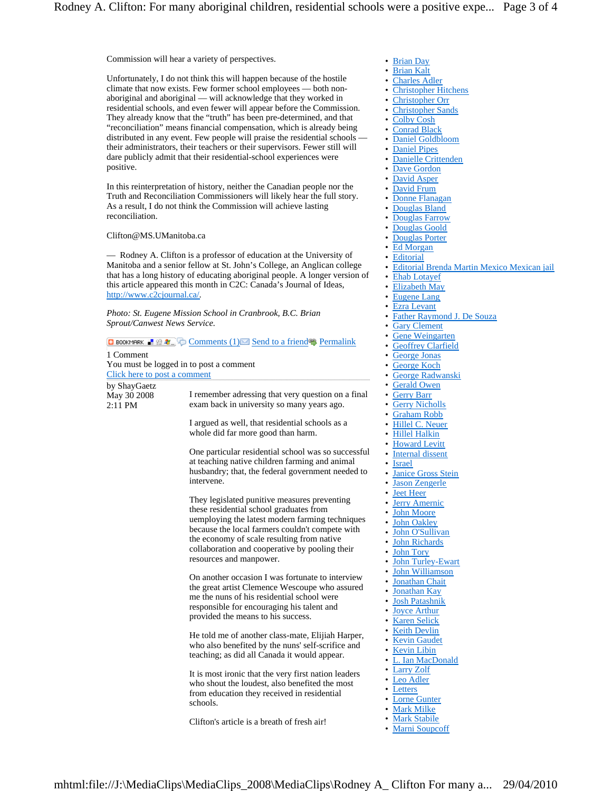Commission will hear a variety of perspectives.

Unfortunately, I do not think this will happen because of the hostile climate that now exists. Few former school employees — both nonaboriginal and aboriginal — will acknowledge that they worked in residential schools, and even fewer will appear before the Commission. They already know that the "truth" has been pre-determined, and that "reconciliation" means financial compensation, which is already being distributed in any event. Few people will praise the residential schools their administrators, their teachers or their supervisors. Fewer still will dare publicly admit that their residential-school experiences were positive.

In this reinterpretation of history, neither the Canadian people nor the Truth and Reconciliation Commissioners will likely hear the full story. As a result, I do not think the Commission will achieve lasting reconciliation.

Clifton@MS.UManitoba.ca

— Rodney A. Clifton is a professor of education at the University of Manitoba and a senior fellow at St. John's College, an Anglican college that has a long history of educating aboriginal people. A longer version of this article appeared this month in C2C: Canada's Journal of Ideas, http://www.c2cjournal.ca/.

*Photo: St. Eugene Mission School in Cranbrook, B.C. Brian Sprout/Canwest News Service.*

|                                          | C BOOKMARK H & L C Comments (1) Send to a friend Permalink                                                                                                                                                                                                                                                               |
|------------------------------------------|--------------------------------------------------------------------------------------------------------------------------------------------------------------------------------------------------------------------------------------------------------------------------------------------------------------------------|
| 1 Comment                                |                                                                                                                                                                                                                                                                                                                          |
|                                          | You must be logged in to post a comment                                                                                                                                                                                                                                                                                  |
| Click here to post a comment             |                                                                                                                                                                                                                                                                                                                          |
| by ShayGaetz<br>May 30 2008<br>$2:11$ PM | I remember adressing that very question on a final<br>exam back in university so many years ago.                                                                                                                                                                                                                         |
|                                          | I argued as well, that residential schools as a<br>whole did far more good than harm.                                                                                                                                                                                                                                    |
|                                          | One particular residential school was so successful<br>at teaching native children farming and animal<br>husbandry; that, the federal government needed to<br>intervene.                                                                                                                                                 |
|                                          | They legislated punitive measures preventing<br>these residential school graduates from<br>uemploying the latest modern farming techniques<br>because the local farmers couldn't compete with<br>the economy of scale resulting from native<br>collaboration and cooperative by pooling their<br>resources and manpower. |
|                                          | On another occasion I was fortunate to interview<br>the great artist Clemence Wescoupe who assured<br>me the nuns of his residential school were<br>responsible for encouraging his talent and<br>provided the means to his success.                                                                                     |
|                                          | He told me of another class-mate, Elijiah Harper,<br>who also benefited by the nuns' self-scrifice and<br>teaching; as did all Canada it would appear.                                                                                                                                                                   |
|                                          | It is most ironic that the very first nation leaders<br>who shout the loudest, also benefited the most<br>from education they received in residential<br>schools.                                                                                                                                                        |
|                                          | Clifton's article is a breath of fresh air!                                                                                                                                                                                                                                                                              |

- Brian Day
- Brian Kalt
- Charles Adler
- Christopher Hitchens
- Christopher Orr • Christopher Sands
- Colby Cosh
- **Conrad Black**
- Daniel Goldbloom
- **Daniel Pipes**
- Danielle Crittenden
- Dave Gordon
- David Asper
- David Frum
- Donne Flanagan
- Douglas Bland
- Douglas Farrow
- **Douglas Goold**
- Douglas Porter
- **Ed Morgan**
- **Editorial**
- Editorial Brenda Martin Mexico Mexican jail
- **Ehab Lotayef**
- Elizabeth May
- Eugene Lang
- Ezra Levant
- Father Raymond J. De Souza
- **Gary Clement**
- Gene Weingarten
- Geoffrey Clarfield
- George Jonas
- George Koch
- George Radwanski • Gerald Owen
- **Gerry Barr**
- **Gerry Nicholls**
- Graham Robb
- Hillel C. Neuer
- Hillel Halkin
- Howard Levitt
- Internal dissent
- **Israel**
- **Janice Gross Stein**
- Jason Zengerle
- Jeet Heer
- Jerry Amernic
- John Moore
- John Oakley
- John O'Sullivan
- **John Richards**
- **John Tory**
- John Turley-Ewart
- John Williamson
- Jonathan Chait • Jonathan Kay
- Josh Patashnik
- **Joyce Arthur**
- Karen Selick
- Keith Devlin
- Kevin Gaudet
- Kevin Libin
- L. Ian MacDonald
- Larry Zolf
- Leo Adler
- **Letters**
- Lorne Gunter
- Mark Milke
- Mark Stabile
- Marni Soupcoff